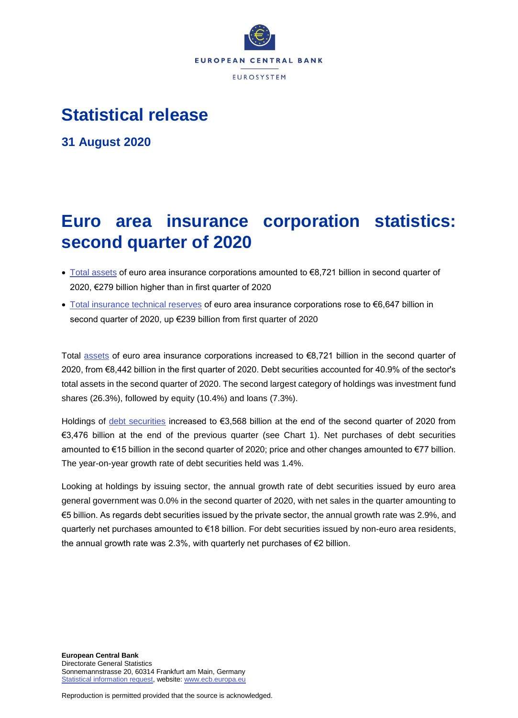

## **Statistical release**

**31 August 2020**

# **Euro area insurance corporation statistics: second quarter of 2020**

- [Total assets](https://sdw.ecb.europa.eu/quickview.do?SERIES_KEY=379.ICB.Q.U2.X.S128.T00.T.1.W0.S1._T.EUR) of euro area insurance corporations amounted to €8,721 billion in second quarter of 2020, €279 billion higher than in first quarter of 2020
- [Total insurance technical reserves](https://sdw.ecb.europa.eu/quickview.do?SERIES_KEY=379.ICB.Q.U2.X.S128.L40.T.1.W0.S1._T.EUR) of euro area insurance corporations rose to €6,647 billion in second quarter of 2020, up €239 billion from first quarter of 2020

Total [assets](https://sdw.ecb.europa.eu/browseSelection.do?type=series&q=ICB.Q.U2.X.S128.T00.T.1.W0.S1._T.EUR+ICB.Q.U2.X.S128.A30.T.1.W0.S1._T.EUR+ICB.Q.U2.X.S128.A30.T.4.W0.S1._T.EUR+ICB.Q.U2.X.S128.A30.T.Z.W0.S1._T.EUR&node=SEARCHRESULTS&ec=&oc=&rc=&cv=&pb=&dc=&df=) of euro area insurance corporations increased to €8,721 billion in the second quarter of 2020, from €8,442 billion in the first quarter of 2020. Debt securities accounted for 40.9% of the sector's total assets in the second quarter of 2020. The second largest category of holdings was investment fund shares (26.3%), followed by equity (10.4%) and loans (7.3%).

Holdings of [debt securities](https://sdw.ecb.europa.eu/browseSelection.do?type=series&q=ICB.Q.U2.X.S128.A30.T.1.W0.S1._T.EUR+ICB.Q.U2.X.S128.A30.T.4.W0.S1._T.EUR+ICB.Q.U2.X.S128.A30.T.Z.W0.S1._T.EUR&node=SEARCHRESULTS&ec=&oc=&rc=&cv=&pb=&dc=&df=) increased to €3,568 billion at the end of the second quarter of 2020 from €3,476 billion at the end of the previous quarter (see Chart 1). Net purchases of debt securities amounted to €15 billion in the second quarter of 2020; price and other changes amounted to €77 billion. The year-on-year growth rate of debt securities held was 1.4%.

Looking at holdings by issuing sector, the annual growth rate of debt securities issued by euro area general government was 0.0% in the second quarter of 2020, with net sales in the quarter amounting to €5 billion. As regards debt securities issued by the private sector, the annual growth rate was 2.9%, and quarterly net purchases amounted to €18 billion. For debt securities issued by non-euro area residents, the annual growth rate was 2.3%, with quarterly net purchases of €2 billion.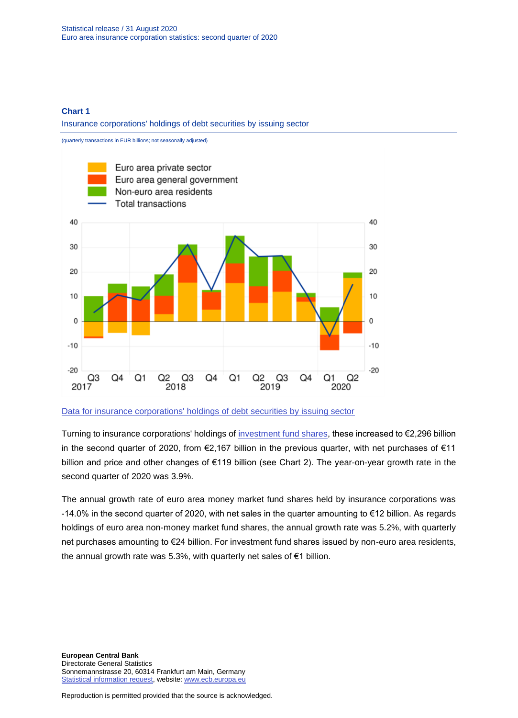#### **Chart 1**

Insurance corporations' holdings of debt securities by issuing sector



[Data for insurance corporations' holdings of debt securities by issuing sector](https://sdw.ecb.europa.eu/browseSelection.do?type=series&q=ICB.Q.U2.X.S128.A30.T.4.U2.S1._T.EUR%2c+ICB.Q.U2.X.S128.A30.T.4.U2.S13._T.EUR%2c+ICB.Q.U2.X.S128.A30.T.4.U4.S1._T.EUR%2c+ICB.Q.U2.X.S128.A30.T.4.W0.S1._T.EUR&node=SEARCHRESULTS&ec=&oc=&rc=&cv=&pb=&dc=&df=)

Turning to insurance corporations' holdings of [investment fund shares,](https://sdw.ecb.europa.eu/browseSelection.do?type=series&q=ICB.Q.U2.X.S128.A60.T.1.W0.S1._T.EUR+ICB.Q.U2.X.S128.A60.T.4.W0.S1._T.EUR+ICB.Q.U2.X.S128.A60.T.Z.W0.S1._T.EUR&node=SEARCHRESULTS&ec=&oc=&rc=&cv=&pb=&dc=&df=) these increased to €2,296 billion in the second quarter of 2020, from €2,167 billion in the previous quarter, with net purchases of €11 billion and price and other changes of €119 billion (see Chart 2). The year-on-year growth rate in the second quarter of 2020 was 3.9%.

The annual growth rate of euro area money market fund shares held by insurance corporations was -14.0% in the second quarter of 2020, with net sales in the quarter amounting to €12 billion. As regards holdings of euro area non-money market fund shares, the annual growth rate was 5.2%, with quarterly net purchases amounting to €24 billion. For investment fund shares issued by non-euro area residents, the annual growth rate was 5.3%, with quarterly net sales of €1 billion.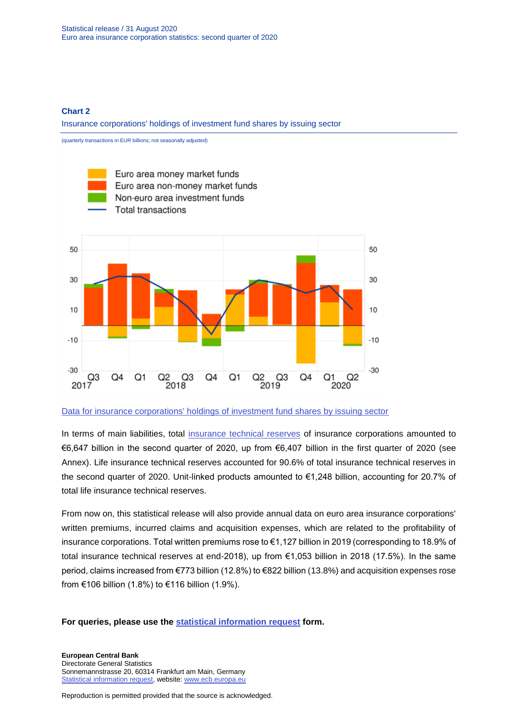#### **Chart 2**

Insurance corporations' holdings of investment fund shares by issuing sector



[Data for insurance corporations' holdings of investment fund shares by issuing sector](https://sdw.ecb.europa.eu/browseSelection.do?type=series&q=ICB.Q.U2.X.S128.A61.T.4.U2.S12K._T.EUR%2c+ICB.Q.U2.X.S128.A62.T.4.U2.S124._T.EUR%2c++ICB.Q.U2.X.S128.A60.T.4.U4.S1._T.EUR%2c+ICB.Q.U2.X.S128.A60.T.4.W0.S1._T.EUR&node=SEARCHRESULTS&ec=&oc=&rc=&cv=&pb=&dc=&df=)

In terms of main liabilities, total [insurance technical reserves](https://sdw.ecb.europa.eu/browseSelection.do?type=series&q=ICB.Q.U2.X.S128.L40.T.1.W0.S1._T.EUR+ICB.Q.U2.X.S128.L41.T.1.W0.S1._T.EUR++ICB.Q.U2.X.S128.L411.T.1.W0.S1._T.EUR+&node=SEARCHRESULTS&ec=&oc=&rc=&cv=&pb=&dc=&df=) of insurance corporations amounted to €6,647 billion in the second quarter of 2020, up from €6,407 billion in the first quarter of 2020 (see Annex). Life insurance technical reserves accounted for 90.6% of total insurance technical reserves in the second quarter of 2020. Unit-linked products amounted to €1,248 billion, accounting for 20.7% of total life insurance technical reserves.

From now on, this statistical release will also provide annual data on euro area insurance corporations' written premiums, incurred claims and acquisition expenses, which are related to the profitability of insurance corporations. Total written premiums rose to €1,127 billion in 2019 (corresponding to 18.9% of total insurance technical reserves at end-2018), up from €1,053 billion in 2018 (17.5%). In the same period, claims increased from €773 billion (12.8%) to €822 billion (13.8%) and acquisition expenses rose from €106 billion (1.8%) to €116 billion (1.9%).

**For queries, please use the [statistical information request](https://ecb-registration.escb.eu/statistical-information) form.**

**European Central Bank** Directorate General Statistics Sonnemannstrasse 20, 60314 Frankfurt am Main, Germany [Statistical information request,](https://ecb-registration.escb.eu/statistical-information) website: [www.ecb.europa.eu](http://www.ecb.europa.eu/)

Reproduction is permitted provided that the source is acknowledged.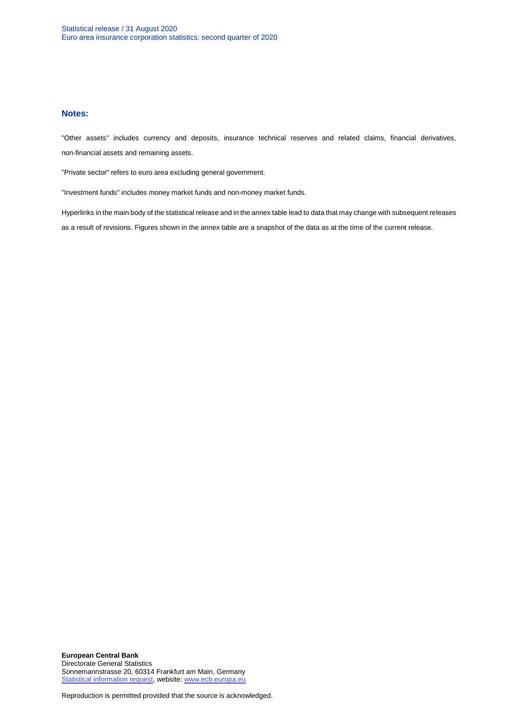#### **Notes:**

"Other assets" includes currency and deposits, insurance technical reserves and related claims, financial derivatives, non-financial assets and remaining assets.

"Private sector" refers to euro area excluding general government.

"Investment funds" includes money market funds and non-money market funds.

Hyperlinks in the main body of the statistical release and in the annex table lead to data that may change with subsequent releases as a result of revisions. Figures shown in the annex table are a snapshot of the data as at the time of the current release.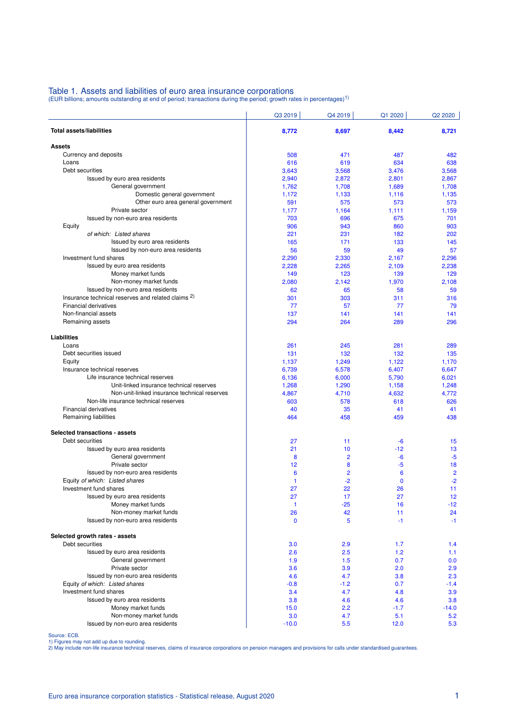### Table 1. Assets and liabilities of euro area insurance corporations<br>(EUR billions; amounts outstanding at end of period; transactions during the period; growth rates in percentages)<sup>1)</sup>

| <b>Total assets/liabilities</b><br>8,772<br>8,697<br>8,442<br><b>Assets</b><br>Currency and deposits<br>471<br>487<br>508<br>Loans<br>634<br>616<br>619<br>Debt securities<br>3,643<br>3,568<br>3,476<br>Issued by euro area residents<br>2,940<br>2,872<br>2,801<br>General government<br>1,762<br>1,689<br>1,708<br>Domestic general government<br>1,172<br>1,133<br>1,116<br>Other euro area general government<br>591<br>575<br>573<br>Private sector<br>1,177<br>1,164<br>1,111<br>Issued by non-euro area residents<br>696<br>703<br>675<br>Equity<br>943<br>860<br>906<br>of which: Listed shares<br>221<br>231<br>182<br>202<br>Issued by euro area residents<br>165<br>171<br>133<br>145<br>Issued by non-euro area residents<br>56<br>59<br>49<br>Investment fund shares<br>2,290<br>2,330<br>2,167<br>2,296<br>Issued by euro area residents<br>2,228<br>2,265<br>2,109<br>Money market funds<br>149<br>123<br>139<br>Non-money market funds<br>1,970<br>2,080<br>2,142<br>Issued by non-euro area residents<br>62<br>65<br>58<br>Insurance technical reserves and related claims <sup>2)</sup><br>301<br>303<br>311<br><b>Financial derivatives</b><br>77<br>57<br>77<br>Non-financial assets<br>137<br>141<br>141<br>Remaining assets<br>294<br>264<br>289<br>Liabilities<br>281<br>Loans<br>261<br>245 | Q3 2019 | Q4 2019 | Q1 2020 | Q2 2020         |
|----------------------------------------------------------------------------------------------------------------------------------------------------------------------------------------------------------------------------------------------------------------------------------------------------------------------------------------------------------------------------------------------------------------------------------------------------------------------------------------------------------------------------------------------------------------------------------------------------------------------------------------------------------------------------------------------------------------------------------------------------------------------------------------------------------------------------------------------------------------------------------------------------------------------------------------------------------------------------------------------------------------------------------------------------------------------------------------------------------------------------------------------------------------------------------------------------------------------------------------------------------------------------------------------------------------------|---------|---------|---------|-----------------|
|                                                                                                                                                                                                                                                                                                                                                                                                                                                                                                                                                                                                                                                                                                                                                                                                                                                                                                                                                                                                                                                                                                                                                                                                                                                                                                                      |         |         |         | 8,721           |
|                                                                                                                                                                                                                                                                                                                                                                                                                                                                                                                                                                                                                                                                                                                                                                                                                                                                                                                                                                                                                                                                                                                                                                                                                                                                                                                      |         |         |         |                 |
|                                                                                                                                                                                                                                                                                                                                                                                                                                                                                                                                                                                                                                                                                                                                                                                                                                                                                                                                                                                                                                                                                                                                                                                                                                                                                                                      |         |         |         | 482             |
|                                                                                                                                                                                                                                                                                                                                                                                                                                                                                                                                                                                                                                                                                                                                                                                                                                                                                                                                                                                                                                                                                                                                                                                                                                                                                                                      |         |         |         | 638             |
|                                                                                                                                                                                                                                                                                                                                                                                                                                                                                                                                                                                                                                                                                                                                                                                                                                                                                                                                                                                                                                                                                                                                                                                                                                                                                                                      |         |         |         | 3,568           |
|                                                                                                                                                                                                                                                                                                                                                                                                                                                                                                                                                                                                                                                                                                                                                                                                                                                                                                                                                                                                                                                                                                                                                                                                                                                                                                                      |         |         |         | 2,867           |
|                                                                                                                                                                                                                                                                                                                                                                                                                                                                                                                                                                                                                                                                                                                                                                                                                                                                                                                                                                                                                                                                                                                                                                                                                                                                                                                      |         |         |         | 1,708           |
|                                                                                                                                                                                                                                                                                                                                                                                                                                                                                                                                                                                                                                                                                                                                                                                                                                                                                                                                                                                                                                                                                                                                                                                                                                                                                                                      |         |         |         | 1,135           |
|                                                                                                                                                                                                                                                                                                                                                                                                                                                                                                                                                                                                                                                                                                                                                                                                                                                                                                                                                                                                                                                                                                                                                                                                                                                                                                                      |         |         |         | 573             |
|                                                                                                                                                                                                                                                                                                                                                                                                                                                                                                                                                                                                                                                                                                                                                                                                                                                                                                                                                                                                                                                                                                                                                                                                                                                                                                                      |         |         |         | 1,159           |
|                                                                                                                                                                                                                                                                                                                                                                                                                                                                                                                                                                                                                                                                                                                                                                                                                                                                                                                                                                                                                                                                                                                                                                                                                                                                                                                      |         |         |         | 701             |
|                                                                                                                                                                                                                                                                                                                                                                                                                                                                                                                                                                                                                                                                                                                                                                                                                                                                                                                                                                                                                                                                                                                                                                                                                                                                                                                      |         |         |         | 903             |
|                                                                                                                                                                                                                                                                                                                                                                                                                                                                                                                                                                                                                                                                                                                                                                                                                                                                                                                                                                                                                                                                                                                                                                                                                                                                                                                      |         |         |         |                 |
|                                                                                                                                                                                                                                                                                                                                                                                                                                                                                                                                                                                                                                                                                                                                                                                                                                                                                                                                                                                                                                                                                                                                                                                                                                                                                                                      |         |         |         | 57              |
|                                                                                                                                                                                                                                                                                                                                                                                                                                                                                                                                                                                                                                                                                                                                                                                                                                                                                                                                                                                                                                                                                                                                                                                                                                                                                                                      |         |         |         |                 |
|                                                                                                                                                                                                                                                                                                                                                                                                                                                                                                                                                                                                                                                                                                                                                                                                                                                                                                                                                                                                                                                                                                                                                                                                                                                                                                                      |         |         |         | 2,238           |
|                                                                                                                                                                                                                                                                                                                                                                                                                                                                                                                                                                                                                                                                                                                                                                                                                                                                                                                                                                                                                                                                                                                                                                                                                                                                                                                      |         |         |         | 129             |
|                                                                                                                                                                                                                                                                                                                                                                                                                                                                                                                                                                                                                                                                                                                                                                                                                                                                                                                                                                                                                                                                                                                                                                                                                                                                                                                      |         |         |         | 2,108           |
|                                                                                                                                                                                                                                                                                                                                                                                                                                                                                                                                                                                                                                                                                                                                                                                                                                                                                                                                                                                                                                                                                                                                                                                                                                                                                                                      |         |         |         | 59              |
|                                                                                                                                                                                                                                                                                                                                                                                                                                                                                                                                                                                                                                                                                                                                                                                                                                                                                                                                                                                                                                                                                                                                                                                                                                                                                                                      |         |         |         | 316             |
|                                                                                                                                                                                                                                                                                                                                                                                                                                                                                                                                                                                                                                                                                                                                                                                                                                                                                                                                                                                                                                                                                                                                                                                                                                                                                                                      |         |         |         | 79              |
|                                                                                                                                                                                                                                                                                                                                                                                                                                                                                                                                                                                                                                                                                                                                                                                                                                                                                                                                                                                                                                                                                                                                                                                                                                                                                                                      |         |         |         | 141             |
|                                                                                                                                                                                                                                                                                                                                                                                                                                                                                                                                                                                                                                                                                                                                                                                                                                                                                                                                                                                                                                                                                                                                                                                                                                                                                                                      |         |         |         | 296             |
|                                                                                                                                                                                                                                                                                                                                                                                                                                                                                                                                                                                                                                                                                                                                                                                                                                                                                                                                                                                                                                                                                                                                                                                                                                                                                                                      |         |         |         |                 |
|                                                                                                                                                                                                                                                                                                                                                                                                                                                                                                                                                                                                                                                                                                                                                                                                                                                                                                                                                                                                                                                                                                                                                                                                                                                                                                                      |         |         |         | 289             |
| Debt securities issued                                                                                                                                                                                                                                                                                                                                                                                                                                                                                                                                                                                                                                                                                                                                                                                                                                                                                                                                                                                                                                                                                                                                                                                                                                                                                               | 131     | 132     | 132     | 135             |
| Equity<br>1,122<br>1,137<br>1,249                                                                                                                                                                                                                                                                                                                                                                                                                                                                                                                                                                                                                                                                                                                                                                                                                                                                                                                                                                                                                                                                                                                                                                                                                                                                                    |         |         |         | 1,170           |
| Insurance technical reserves<br>6,739<br>6,578<br>6,407                                                                                                                                                                                                                                                                                                                                                                                                                                                                                                                                                                                                                                                                                                                                                                                                                                                                                                                                                                                                                                                                                                                                                                                                                                                              |         |         |         | 6,647           |
| Life insurance technical reserves<br>6,136<br>6,000<br>5,790                                                                                                                                                                                                                                                                                                                                                                                                                                                                                                                                                                                                                                                                                                                                                                                                                                                                                                                                                                                                                                                                                                                                                                                                                                                         |         |         |         | 6,021           |
| Unit-linked insurance technical reserves<br>1,268<br>1,290<br>1,158                                                                                                                                                                                                                                                                                                                                                                                                                                                                                                                                                                                                                                                                                                                                                                                                                                                                                                                                                                                                                                                                                                                                                                                                                                                  |         |         |         | 1,248           |
| Non-unit-linked insurance technical reserves<br>4,867<br>4,710<br>4,632<br>Non-life insurance technical reserves<br>603<br>578<br>618                                                                                                                                                                                                                                                                                                                                                                                                                                                                                                                                                                                                                                                                                                                                                                                                                                                                                                                                                                                                                                                                                                                                                                                |         |         |         | 4,772<br>626    |
| <b>Financial derivatives</b><br>40<br>35<br>41                                                                                                                                                                                                                                                                                                                                                                                                                                                                                                                                                                                                                                                                                                                                                                                                                                                                                                                                                                                                                                                                                                                                                                                                                                                                       |         |         |         | 41              |
| Remaining liabilities<br>464<br>458<br>459                                                                                                                                                                                                                                                                                                                                                                                                                                                                                                                                                                                                                                                                                                                                                                                                                                                                                                                                                                                                                                                                                                                                                                                                                                                                           |         |         |         | 438             |
|                                                                                                                                                                                                                                                                                                                                                                                                                                                                                                                                                                                                                                                                                                                                                                                                                                                                                                                                                                                                                                                                                                                                                                                                                                                                                                                      |         |         |         |                 |
| Selected transactions - assets<br>Debt securities                                                                                                                                                                                                                                                                                                                                                                                                                                                                                                                                                                                                                                                                                                                                                                                                                                                                                                                                                                                                                                                                                                                                                                                                                                                                    |         |         |         |                 |
| 27<br>11<br>$-6$<br>Issued by euro area residents<br>21<br>$-12$<br>10                                                                                                                                                                                                                                                                                                                                                                                                                                                                                                                                                                                                                                                                                                                                                                                                                                                                                                                                                                                                                                                                                                                                                                                                                                               |         |         |         | 15<br>13        |
| General government<br>$\overline{2}$<br>8<br>$-6$                                                                                                                                                                                                                                                                                                                                                                                                                                                                                                                                                                                                                                                                                                                                                                                                                                                                                                                                                                                                                                                                                                                                                                                                                                                                    |         |         |         | $-5$            |
| Private sector<br>$-5$<br>12<br>8                                                                                                                                                                                                                                                                                                                                                                                                                                                                                                                                                                                                                                                                                                                                                                                                                                                                                                                                                                                                                                                                                                                                                                                                                                                                                    |         |         |         | 18              |
| Issued by non-euro area residents<br>$\overline{2}$<br>6<br>6                                                                                                                                                                                                                                                                                                                                                                                                                                                                                                                                                                                                                                                                                                                                                                                                                                                                                                                                                                                                                                                                                                                                                                                                                                                        |         |         |         | $\overline{2}$  |
| Equity of which: Listed shares<br>$-2$<br>$\mathbf 0$<br>1                                                                                                                                                                                                                                                                                                                                                                                                                                                                                                                                                                                                                                                                                                                                                                                                                                                                                                                                                                                                                                                                                                                                                                                                                                                           |         |         |         | $-2$            |
| Investment fund shares<br>27<br>22<br>26                                                                                                                                                                                                                                                                                                                                                                                                                                                                                                                                                                                                                                                                                                                                                                                                                                                                                                                                                                                                                                                                                                                                                                                                                                                                             |         |         |         | 11              |
| Issued by euro area residents<br>27<br>17<br>27                                                                                                                                                                                                                                                                                                                                                                                                                                                                                                                                                                                                                                                                                                                                                                                                                                                                                                                                                                                                                                                                                                                                                                                                                                                                      |         |         |         | 12 <sup>2</sup> |
| Money market funds<br>$-25$<br>$\mathbf{1}$<br>16                                                                                                                                                                                                                                                                                                                                                                                                                                                                                                                                                                                                                                                                                                                                                                                                                                                                                                                                                                                                                                                                                                                                                                                                                                                                    |         |         |         | $-12$           |
| Non-money market funds<br>26<br>42<br>11                                                                                                                                                                                                                                                                                                                                                                                                                                                                                                                                                                                                                                                                                                                                                                                                                                                                                                                                                                                                                                                                                                                                                                                                                                                                             |         |         |         | 24              |
| Issued by non-euro area residents<br>5<br>$-1$<br>$\mathbf 0$                                                                                                                                                                                                                                                                                                                                                                                                                                                                                                                                                                                                                                                                                                                                                                                                                                                                                                                                                                                                                                                                                                                                                                                                                                                        |         |         |         | $-1$            |
| Selected growth rates - assets                                                                                                                                                                                                                                                                                                                                                                                                                                                                                                                                                                                                                                                                                                                                                                                                                                                                                                                                                                                                                                                                                                                                                                                                                                                                                       |         |         |         |                 |
| Debt securities<br>3.0<br>2.9<br>1.7                                                                                                                                                                                                                                                                                                                                                                                                                                                                                                                                                                                                                                                                                                                                                                                                                                                                                                                                                                                                                                                                                                                                                                                                                                                                                 |         |         |         | 1.4             |
| Issued by euro area residents<br>2.6<br>2.5<br>1.2                                                                                                                                                                                                                                                                                                                                                                                                                                                                                                                                                                                                                                                                                                                                                                                                                                                                                                                                                                                                                                                                                                                                                                                                                                                                   |         |         |         | 1.1             |
| 1.5<br>0.7<br>General government<br>1.9                                                                                                                                                                                                                                                                                                                                                                                                                                                                                                                                                                                                                                                                                                                                                                                                                                                                                                                                                                                                                                                                                                                                                                                                                                                                              |         |         |         | 0.0             |
| Private sector<br>3.6<br>3.9<br>2.0                                                                                                                                                                                                                                                                                                                                                                                                                                                                                                                                                                                                                                                                                                                                                                                                                                                                                                                                                                                                                                                                                                                                                                                                                                                                                  |         |         |         | 2.9             |
| Issued by non-euro area residents<br>4.7<br>4.6<br>3.8                                                                                                                                                                                                                                                                                                                                                                                                                                                                                                                                                                                                                                                                                                                                                                                                                                                                                                                                                                                                                                                                                                                                                                                                                                                               |         |         |         | 2.3             |
| Equity of which: Listed shares<br>$-0.8$<br>$-1.2$<br>0.7<br>Investment fund shares                                                                                                                                                                                                                                                                                                                                                                                                                                                                                                                                                                                                                                                                                                                                                                                                                                                                                                                                                                                                                                                                                                                                                                                                                                  |         |         |         | $-1.4$          |
| 4.7<br>3.4<br>4.8<br>Issued by euro area residents<br>3.8<br>4.6<br>4.6                                                                                                                                                                                                                                                                                                                                                                                                                                                                                                                                                                                                                                                                                                                                                                                                                                                                                                                                                                                                                                                                                                                                                                                                                                              |         |         |         | 3.9<br>3.8      |
| Money market funds<br>15.0<br>2.2<br>$-1.7$                                                                                                                                                                                                                                                                                                                                                                                                                                                                                                                                                                                                                                                                                                                                                                                                                                                                                                                                                                                                                                                                                                                                                                                                                                                                          |         |         |         | $-14.0$         |
| Non-money market funds<br>3.0<br>4.7<br>5.1                                                                                                                                                                                                                                                                                                                                                                                                                                                                                                                                                                                                                                                                                                                                                                                                                                                                                                                                                                                                                                                                                                                                                                                                                                                                          |         |         |         | 5.2             |
| Issued by non-euro area residents<br>5.5<br>$-10.0$<br>12.0                                                                                                                                                                                                                                                                                                                                                                                                                                                                                                                                                                                                                                                                                                                                                                                                                                                                                                                                                                                                                                                                                                                                                                                                                                                          |         |         |         | 5.3             |

Source: ECB.<br>1) Figures may not add up due to rounding.<br>2) May include non-life insurance technical reserves, claims of insurance corporations on pension managers and provisions for calls under standardised guarantees.